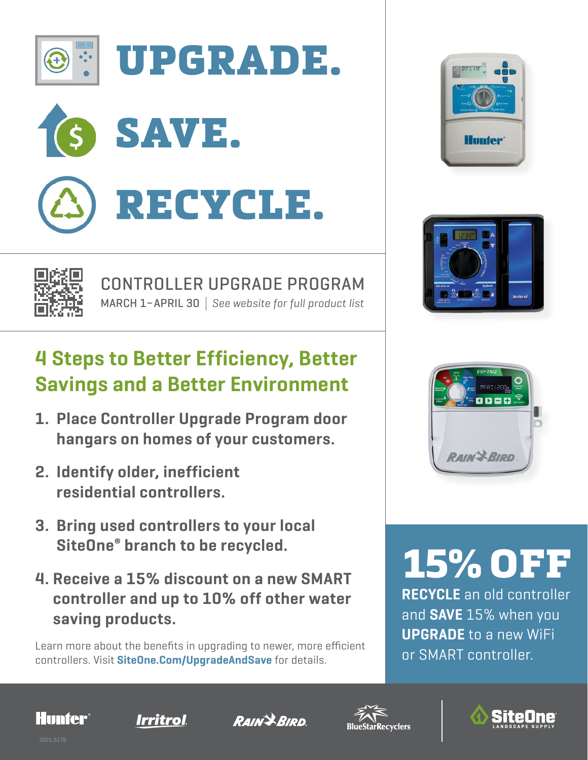

**UPGRADE.** 









#### CONTROLLER UPGRADE PROGRAM MARCH 1–APRIL 30 *See website for full product list*

#### **4 Steps to Better Efficiency, Better Savings and a Better Environment**

- **1. Place Controller Upgrade Program door hangars on homes of your customers.**
- **2. Identify older, inefficient residential controllers.**
- **3. Bring used controllers to your local SiteOne® branch to be recycled.**
- **4. Receive a 15% discount on a new SMART controller and up to 10% off other water saving products.**

Learn more about the benefits in upgrading to newer, more efficient **or SMART controller.** controllers. Visit **SiteOne.Com/UpgradeAndSave** for details.



 $9.00220$ 

# 15% OFF

**RECYCLE** an old controller and **SAVE** 15% when you **UPGRADE** to a new WiFi









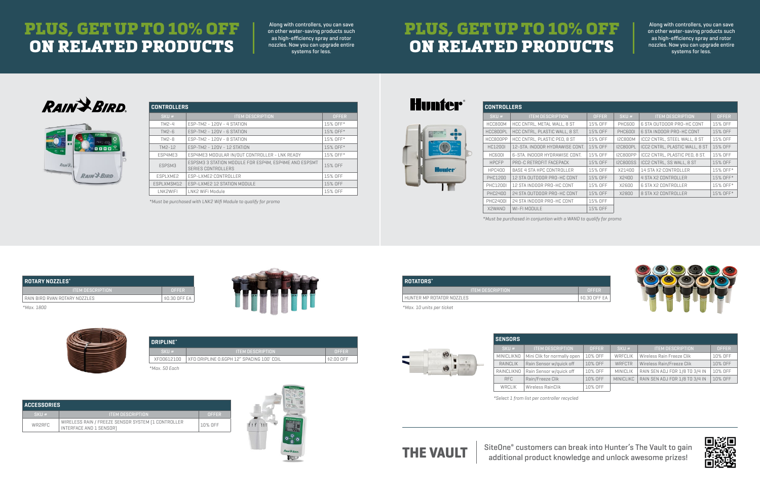| <b>CONTROLLERS</b> |                                                                                   |              |  |  |
|--------------------|-----------------------------------------------------------------------------------|--------------|--|--|
| SKU#               | <b>ITEM DESCRIPTION</b>                                                           | <b>OFFER</b> |  |  |
| TM2-4              | ESP-TM2 - 120V - 4 STATION                                                        | 15% OFF*     |  |  |
| $TM2-6$            | ESP-TM2 - 120V - 6 STATION                                                        | 15% OFF*     |  |  |
| $TM2-8$            | ESP-TM2 - 120V - 8 STATION                                                        | 15% OFF*     |  |  |
| TM2-12             | ESP-TM2 - 120V - 12 STATION                                                       | 15% OFF*     |  |  |
| ESP4ME3            | ESP4ME3 MODULAR IN/OUT CONTROLLER - LNK READY                                     | 15% OFF*     |  |  |
| ESPSM3             | ESPSM3 3 STATION MODULE FOR ESP4M, ESP4ME AND ESPSMT<br><b>SERIES CONTROLLERS</b> | 15% OFF      |  |  |
| <b>FSPI XMF2</b>   | ESP-LXME2 CONTROLLER                                                              | 15% OFF      |  |  |
| ESPLXMSM12         | ESP-LXME2 12 STATION MODULE                                                       | 15% OFF      |  |  |
| LNK2WIFI           | LNK2 WiFi Module                                                                  | 15% OFF      |  |  |

| <b>CONTROLLERS.</b> |             |
|---------------------|-------------|
| 'SKU #              | <b>ITFM</b> |

| <b>CONTROLLERS</b> |                                |              |                 |                                       |              |  |
|--------------------|--------------------------------|--------------|-----------------|---------------------------------------|--------------|--|
| SKU#               | <b>ITEM DESCRIPTION</b>        | <b>OFFER</b> | SKU#            | <b>ITEM DESCRIPTION</b>               | <b>OFFER</b> |  |
| HCC800M            | HCC CNTRL, METAL WALL, 8 ST    | 15% OFF      | <b>PHC600</b>   | 6 STA OUTDOOR PRO-HC CONT             | 15% OFF      |  |
| HCC800PL           | HCC CNTRL, PLASTIC WALL, 8 ST. | 15% OFF      | <b>PHC6001</b>  | 6 STA INDOOR PRO-HC CONT              | 15% OFF      |  |
| HCC800PP           | HCC CNTRL, PLASTIC PED, 8 ST   | 15% OFF      | <b>I2C800M</b>  | ICC2 CNTRL, STEEL WALL, 8 ST          | 15% OFF      |  |
| <b>HC1200I</b>     | 12-STA, INDOOR HYDRAWISE CONT. | 15% OFF      | <b>I2C800PL</b> | <b>ICC2 CNTRL, PLASTIC WALL, 8 ST</b> | 15% OFF      |  |
| <b>HC600I</b>      | 6-STA, INDOOR HYDRAWISE CONT.  | 15% OFF      | <b>I2C800PP</b> | ICC2 CNTRL, PLASTIC PED, 8 ST.        | 15% OFF      |  |
| <b>HPCFP</b>       | PRO-C RETROFIT FACEPACK        | 15% OFF      | <b>I2C800SS</b> | ICC2 CNTRL, SS WALL, 8 ST             | 15% OFF      |  |
| <b>HPC400</b>      | BASE 4 STA HPC CONTROLLER      | 15% OFF      | X21400          | 14 STA X2 CONTROLLER                  | 15% OFF*     |  |
| <b>PHC1200</b>     | 12 STA OUTDOOR PRO-HC CONT     | 15% OFF      | X2400           | <b>4 STA X2 CONTROLLER</b>            | 15% OFF*     |  |
| <b>PHC12001</b>    | 12 STA INDOOR PRO-HC CONT      | 15% OFF      | X2600           | 6 STA X2 CONTROLLER                   | 15% OFF*     |  |
| <b>PHC2400</b>     | 24 STA OUTDOOR PRO-HC CONT     | 15% OFF      | X2800           | 8 STA X2 CONTROLLER                   | 15% OFF*     |  |
| <b>PHC24001</b>    | 24 STA INDOOR PRO-HC CONT      | 15% OFF      |                 |                                       |              |  |
| X2WAND             | WI-FI MODULE                   | 15% OFF      |                 |                                       |              |  |

| <b>SENSORS</b> |                             |              |                  |                                |              |
|----------------|-----------------------------|--------------|------------------|--------------------------------|--------------|
| SKU#           | <b>ITEM DESCRIPTION</b>     | <b>OFFER</b> | SKU#             | <b>ITEM DESCRIPTION</b>        | <b>OFFER</b> |
| MINICLIKNO     | Mini Clik for normally open | 10% OFF      | <b>WRFCLIK</b>   | Wireless Rain Freeze Clik      | 10% OFF      |
| RAINCLIK       | Rain Sensor w/quick off     | 10% OFF      | <b>WRFCTR</b>    | Wireless Rain/Freeze Clik      | 10% OFF      |
| RAINCLIKNO     | Rain Sensor w/quick off     | 10% OFF      | <b>MINICLIK</b>  | RAIN SEN ADJ FOR 1/8 TO 3/4 IN | 10% OFF      |
| RFC            | Rain/Freeze Clik            | 10% OFF      | <b>MINICLIKC</b> | RAIN SEN ADJ FOR 1/8 TO 3/4 IN | 10% OFF      |
| <b>WRCLIK</b>  | Wireless RainClik           | 10% OFF      |                  |                                |              |

| <b>ROTARY NOZZLES</b> *       |               |  |  |
|-------------------------------|---------------|--|--|
| TEM DESCRIPTION               | <b>OFFER</b>  |  |  |
| RAIN BIRD RVAN ROTARY NOZZLES | \$0.30 OFF EA |  |  |



| ROTATORS*                 |                 |
|---------------------------|-----------------|
| LITEM DESCRIPTION'        | <b>OFFFR</b>    |
| HUNTER MP ROTATOR NOZZLES | ' \$0.30 OFF EA |



| ACCESSORIES <sup>1</sup> |                                                                               |              |  |  |
|--------------------------|-------------------------------------------------------------------------------|--------------|--|--|
| SKU#                     | <b>ITEM DESCRIPTION</b>                                                       | <b>OFFFR</b> |  |  |
| WR2RFC                   | WIRELESS RAIN / FREEZE SENSOR SYSTEM [1 CONTROLLER<br>INTERFACE AND 1 SENSOR] | 10% OFF      |  |  |



| DRIPLINE*  |                                           |              |
|------------|-------------------------------------------|--------------|
| SKU#       | <b>NITEM DESCRIPTION!</b>                 | <b>OFFER</b> |
| XFDO612100 | XFD DRIPLINE 0.6GPH 12" SPACING 100' COIL | \$2.NN NFF   |

#### PLUS, GET UP TO 10% OFF ON RELATED PRODUCTS

Along with controllers, you can save on other water-saving products such as high-efficiency spray and rotor nozzles. Now you can upgrade entire systems for less.

| <b>ROTARY NOZZLES*</b>        |               |
|-------------------------------|---------------|
| <b>ITEM DESCRIPTION</b>       | <b>OFFER</b>  |
| RAIN BIRD RVAN ROTARY NOZZLES | \$0.30 OFF EA |
| *Max. 1800                    |               |

*\*Must be purchased in conjuntion with a WAND to qualify for promo*

*\*Must be purchased with LNK2 Wifi Module to qualify for promo*

|  | <b>TIUTIICI</b> |
|--|-----------------|
|  | <b>DRING</b>    |
|  |                 |

**Blunnation** 

*\*Select 1 from list per controller recycled*

THE VAULT **SiteOne®** customers can break into Hunter's The Vault to gain additional product knowledge and unlock awesome prizes!

*\*Max. 50 Each*

## PLUS, GET UP TO 10% OFF ON RELATED PRODUCTS

RAIN<sup>\$</sup>BIRD.



Along with controllers, you can save on other water-saving products such as high-efficiency spray and rotor nozzles. Now you can upgrade entire systems for less.

| <b>OFFFR</b>  |
|---------------|
| \$0.30 OFF EA |